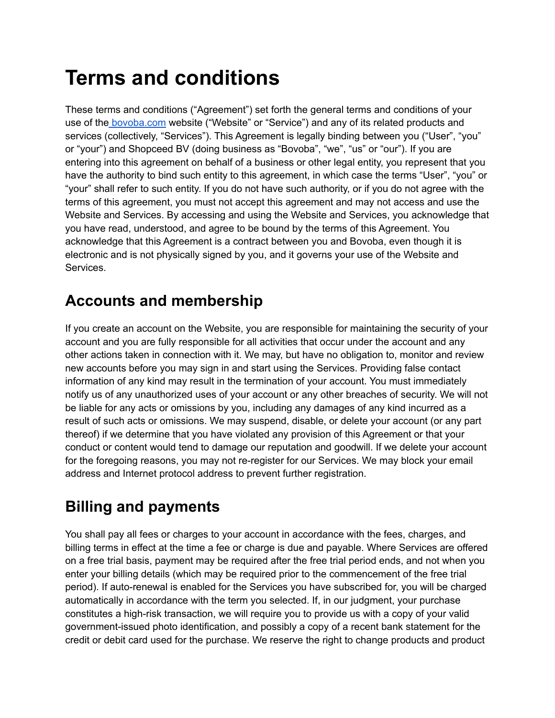# **Terms and conditions**

These terms and conditions ("Agreement") set forth the general terms and conditions of your use of the [bovoba.com](https://www.bovoba.com) website ("Website" or "Service") and any of its related products and services (collectively, "Services"). This Agreement is legally binding between you ("User", "you" or "your") and Shopceed BV (doing business as "Bovoba", "we", "us" or "our"). If you are entering into this agreement on behalf of a business or other legal entity, you represent that you have the authority to bind such entity to this agreement, in which case the terms "User", "you" or "your" shall refer to such entity. If you do not have such authority, or if you do not agree with the terms of this agreement, you must not accept this agreement and may not access and use the Website and Services. By accessing and using the Website and Services, you acknowledge that you have read, understood, and agree to be bound by the terms of this Agreement. You acknowledge that this Agreement is a contract between you and Bovoba, even though it is electronic and is not physically signed by you, and it governs your use of the Website and Services.

### **Accounts and membership**

If you create an account on the Website, you are responsible for maintaining the security of your account and you are fully responsible for all activities that occur under the account and any other actions taken in connection with it. We may, but have no obligation to, monitor and review new accounts before you may sign in and start using the Services. Providing false contact information of any kind may result in the termination of your account. You must immediately notify us of any unauthorized uses of your account or any other breaches of security. We will not be liable for any acts or omissions by you, including any damages of any kind incurred as a result of such acts or omissions. We may suspend, disable, or delete your account (or any part thereof) if we determine that you have violated any provision of this Agreement or that your conduct or content would tend to damage our reputation and goodwill. If we delete your account for the foregoing reasons, you may not re-register for our Services. We may block your email address and Internet protocol address to prevent further registration.

# **Billing and payments**

You shall pay all fees or charges to your account in accordance with the fees, charges, and billing terms in effect at the time a fee or charge is due and payable. Where Services are offered on a free trial basis, payment may be required after the free trial period ends, and not when you enter your billing details (which may be required prior to the commencement of the free trial period). If auto-renewal is enabled for the Services you have subscribed for, you will be charged automatically in accordance with the term you selected. If, in our judgment, your purchase constitutes a high-risk transaction, we will require you to provide us with a copy of your valid government-issued photo identification, and possibly a copy of a recent bank statement for the credit or debit card used for the purchase. We reserve the right to change products and product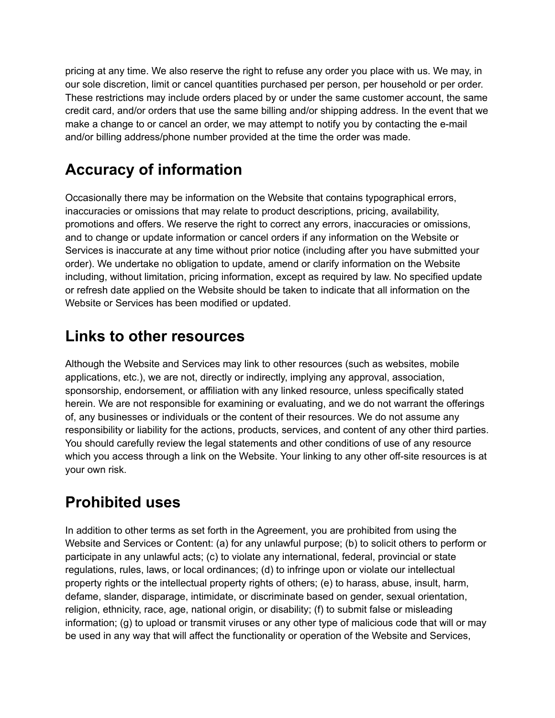pricing at any time. We also reserve the right to refuse any order you place with us. We may, in our sole discretion, limit or cancel quantities purchased per person, per household or per order. These restrictions may include orders placed by or under the same customer account, the same credit card, and/or orders that use the same billing and/or shipping address. In the event that we make a change to or cancel an order, we may attempt to notify you by contacting the e-mail and/or billing address/phone number provided at the time the order was made.

### **Accuracy of information**

Occasionally there may be information on the Website that contains typographical errors, inaccuracies or omissions that may relate to product descriptions, pricing, availability, promotions and offers. We reserve the right to correct any errors, inaccuracies or omissions, and to change or update information or cancel orders if any information on the Website or Services is inaccurate at any time without prior notice (including after you have submitted your order). We undertake no obligation to update, amend or clarify information on the Website including, without limitation, pricing information, except as required by law. No specified update or refresh date applied on the Website should be taken to indicate that all information on the Website or Services has been modified or updated.

#### **Links to other resources**

Although the Website and Services may link to other resources (such as websites, mobile applications, etc.), we are not, directly or indirectly, implying any approval, association, sponsorship, endorsement, or affiliation with any linked resource, unless specifically stated herein. We are not responsible for examining or evaluating, and we do not warrant the offerings of, any businesses or individuals or the content of their resources. We do not assume any responsibility or liability for the actions, products, services, and content of any other third parties. You should carefully review the legal statements and other conditions of use of any resource which you access through a link on the Website. Your linking to any other off-site resources is at your own risk.

### **Prohibited uses**

In addition to other terms as set forth in the Agreement, you are prohibited from using the Website and Services or Content: (a) for any unlawful purpose; (b) to solicit others to perform or participate in any unlawful acts; (c) to violate any international, federal, provincial or state regulations, rules, laws, or local ordinances; (d) to infringe upon or violate our intellectual property rights or the intellectual property rights of others; (e) to harass, abuse, insult, harm, defame, slander, disparage, intimidate, or discriminate based on gender, sexual orientation, religion, ethnicity, race, age, national origin, or disability; (f) to submit false or misleading information; (g) to upload or transmit viruses or any other type of malicious code that will or may be used in any way that will affect the functionality or operation of the Website and Services,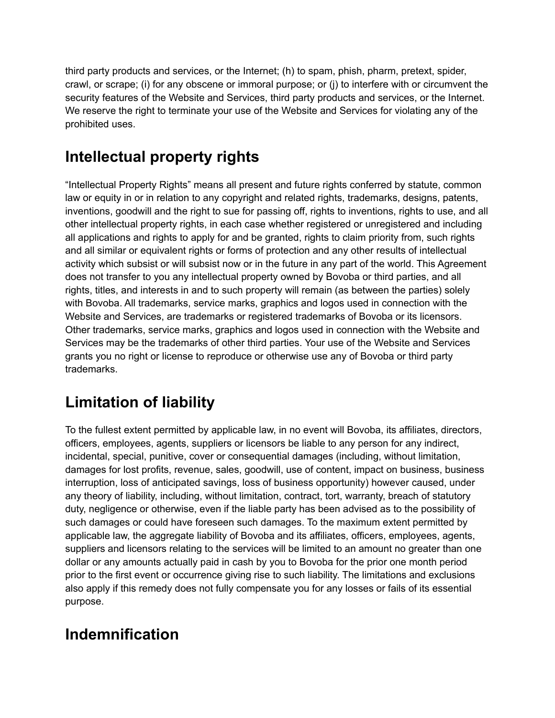third party products and services, or the Internet; (h) to spam, phish, pharm, pretext, spider, crawl, or scrape; (i) for any obscene or immoral purpose; or (j) to interfere with or circumvent the security features of the Website and Services, third party products and services, or the Internet. We reserve the right to terminate your use of the Website and Services for violating any of the prohibited uses.

### **Intellectual property rights**

"Intellectual Property Rights" means all present and future rights conferred by statute, common law or equity in or in relation to any copyright and related rights, trademarks, designs, patents, inventions, goodwill and the right to sue for passing off, rights to inventions, rights to use, and all other intellectual property rights, in each case whether registered or unregistered and including all applications and rights to apply for and be granted, rights to claim priority from, such rights and all similar or equivalent rights or forms of protection and any other results of intellectual activity which subsist or will subsist now or in the future in any part of the world. This Agreement does not transfer to you any intellectual property owned by Bovoba or third parties, and all rights, titles, and interests in and to such property will remain (as between the parties) solely with Bovoba. All trademarks, service marks, graphics and logos used in connection with the Website and Services, are trademarks or registered trademarks of Bovoba or its licensors. Other trademarks, service marks, graphics and logos used in connection with the Website and Services may be the trademarks of other third parties. Your use of the Website and Services grants you no right or license to reproduce or otherwise use any of Bovoba or third party trademarks.

# **Limitation of liability**

To the fullest extent permitted by applicable law, in no event will Bovoba, its affiliates, directors, officers, employees, agents, suppliers or licensors be liable to any person for any indirect, incidental, special, punitive, cover or consequential damages (including, without limitation, damages for lost profits, revenue, sales, goodwill, use of content, impact on business, business interruption, loss of anticipated savings, loss of business opportunity) however caused, under any theory of liability, including, without limitation, contract, tort, warranty, breach of statutory duty, negligence or otherwise, even if the liable party has been advised as to the possibility of such damages or could have foreseen such damages. To the maximum extent permitted by applicable law, the aggregate liability of Bovoba and its affiliates, officers, employees, agents, suppliers and licensors relating to the services will be limited to an amount no greater than one dollar or any amounts actually paid in cash by you to Bovoba for the prior one month period prior to the first event or occurrence giving rise to such liability. The limitations and exclusions also apply if this remedy does not fully compensate you for any losses or fails of its essential purpose.

### **Indemnification**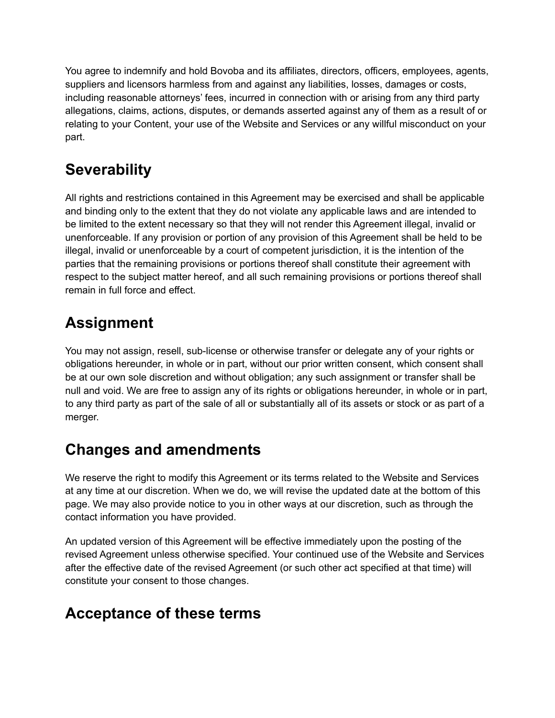You agree to indemnify and hold Bovoba and its affiliates, directors, officers, employees, agents, suppliers and licensors harmless from and against any liabilities, losses, damages or costs, including reasonable attorneys' fees, incurred in connection with or arising from any third party allegations, claims, actions, disputes, or demands asserted against any of them as a result of or relating to your Content, your use of the Website and Services or any willful misconduct on your part.

### **Severability**

All rights and restrictions contained in this Agreement may be exercised and shall be applicable and binding only to the extent that they do not violate any applicable laws and are intended to be limited to the extent necessary so that they will not render this Agreement illegal, invalid or unenforceable. If any provision or portion of any provision of this Agreement shall be held to be illegal, invalid or unenforceable by a court of competent jurisdiction, it is the intention of the parties that the remaining provisions or portions thereof shall constitute their agreement with respect to the subject matter hereof, and all such remaining provisions or portions thereof shall remain in full force and effect.

### **Assignment**

You may not assign, resell, sub-license or otherwise transfer or delegate any of your rights or obligations hereunder, in whole or in part, without our prior written consent, which consent shall be at our own sole discretion and without obligation; any such assignment or transfer shall be null and void. We are free to assign any of its rights or obligations hereunder, in whole or in part, to any third party as part of the sale of all or substantially all of its assets or stock or as part of a merger.

### **Changes and amendments**

We reserve the right to modify this Agreement or its terms related to the Website and Services at any time at our discretion. When we do, we will revise the updated date at the bottom of this page. We may also provide notice to you in other ways at our discretion, such as through the contact information you have provided.

An updated version of this Agreement will be effective immediately upon the posting of the revised Agreement unless otherwise specified. Your continued use of the Website and Services after the effective date of the revised Agreement (or such other act specified at that time) will constitute your consent to those changes.

#### **Acceptance of these terms**